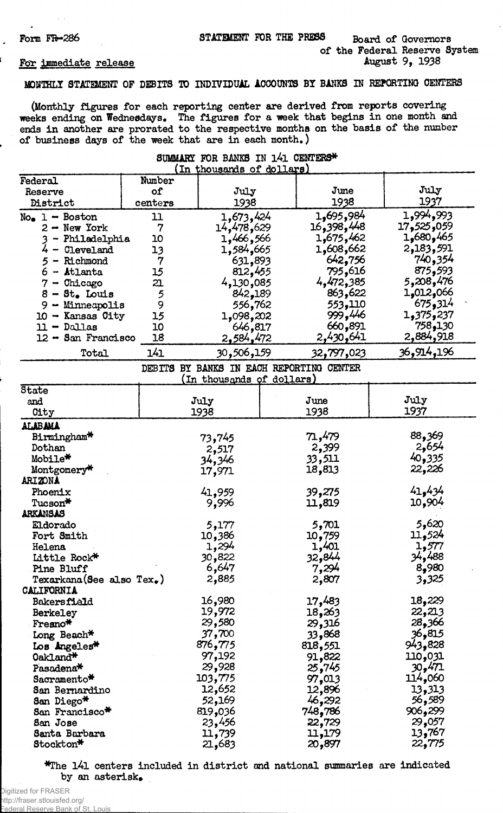$\overline{a}$ 

# Form FR-286 STATEMENT FOR THE PRESS Board of Governors of the Federal Reserve System<br>August 9, 1938

### For immediate release

## MONTHLY STATEMENT OF DEBITS TO INDIVIDUAL ACCOUNTS BY BANKS IN REPORTING CENTERS

(Monthly figures for each reporting center are derived from reports covering weeks ending on Wednesdays. The figures for a week that begins in one month and ends in another are prorated to the respective months on the basis of the number of business days of the week that are in each month.)

| In thousands of dollars                 |               |                                   |  |            |             |
|-----------------------------------------|---------------|-----------------------------------|--|------------|-------------|
| Federal                                 | Number        |                                   |  |            |             |
| Reserve                                 | of            | July                              |  | June       | July        |
| District                                | centers       | 1938                              |  | 1938       | 1937        |
| $No_{\bullet}$ 1 - Boston               | 11            | 1,673,424                         |  | 1,695,984  | 1,994,993   |
| $2 -$ New York                          | 7             | 14,478,629                        |  | 16,398,448 | 059و325 17  |
| 3 - Philadelphia                        | 10            | 1,466,566                         |  | 1,675,462  | 465 و680 و1 |
| 4 - Cleveland                           | 13            | 1,584,665                         |  | 662,608,1  | 2,183,591   |
| 5 - Richmond                            | 7             | 631,893                           |  | 642,756    | 740,354     |
| $6$ - Atlanta                           | 15            | 812,455                           |  | 795,616    | 875,593     |
| $7 -$ Chicago                           | 21.           | 4,130,085                         |  | 4,472,385  | 5,208,476   |
| $8 - Ste$ Louis                         | 5             | 842,189                           |  | 863,622    | 066و12و1    |
| $9 -$ Minneapolis                       | 9             | 556,762                           |  | 553,110    | 675,314     |
| $10 -$ Kansas City                      | 15            | 1,098,202                         |  | 999,446    | 237, 375و1  |
| $11 - $ Dallas                          | 10            | 646,817                           |  | 660,891    | 130ھ575     |
| 12 - San Francisco                      | 18            | 2,584,472                         |  | 2,430,641  | 2,884,918   |
| Total                                   | 141           | 30,506,159                        |  | 32,797,023 | 36,914,196  |
|                                         | <b>DEBITS</b> | BY BANKS IN EACH REPORTING CENTER |  |            |             |
|                                         |               | <u>(In thousands of dollars)</u>  |  |            |             |
| State                                   |               |                                   |  |            |             |
| and                                     |               | July                              |  | June       | July        |
| City                                    |               | 1938                              |  | 1938       | 1937        |
| ALABAMA                                 |               |                                   |  |            |             |
| Birmingham*                             |               | 73,745                            |  | 71,479     | 88,369      |
| Dothan                                  |               | 2,517                             |  | 2,399      | 2,654       |
| Mobile*                                 |               | 34,346                            |  | 33,511     | 40,335      |
| Montgomery*                             |               | 17,971                            |  | 18,813     | 22,226      |
| ARIZONA                                 |               |                                   |  |            |             |
| Phoenix                                 |               | 41,959                            |  | 39,275     | 41,434      |
| Tucson*                                 |               | 9,996                             |  | 11,819     | 10,904      |
| ARKANSAS                                |               |                                   |  |            |             |
| Eldorado                                |               | 5,177                             |  | 5,701      | 5,620       |
| Fort Smith                              |               | 10,386                            |  | 10,759     | 524و11      |
| Helena                                  |               | 1,294                             |  | 1,401      | 1,577       |
| Little Rock*                            |               | 30,822                            |  | 32,844     | 34,488      |
| Pine Bluff                              |               | 6,647                             |  | 7,294      | 8,980       |
| $Texarkana$ (See also $Tex_{\bullet}$ ) |               | 2,885                             |  | 2,807      | 3,325       |
| CALIFORNIA                              |               |                                   |  |            |             |
| <b>Bakersfield</b>                      |               | 16,980                            |  | 17,483     | 18,229      |
| Berkeley                                |               | 19,972                            |  | 18,263     | 22,213      |
| Fresno*                                 |               | 29,580                            |  | 29,316     | 28,366      |
| Long Beach*                             |               | 37,700                            |  | 33,868     | 36,815      |
| Los Angeles*                            |               | 876,775                           |  | 818,551    | 943,828     |
| Oakland*                                |               | 97,192                            |  | 91,822     | 110,031     |
| Pasadena*                               |               | 29,928                            |  | 25,745     | 30,471      |
| Sacramento*                             |               | 103,775                           |  | 97,013     | 114,060     |
| <b>San Bernardino</b>                   |               | 12,652                            |  | 12,896     | 13,313      |
| San Diego*                              |               | 52,169                            |  | 46,292     | 56,589      |
| San Francisco*                          |               | 819,036                           |  | 748,786    | 906,299     |
| San Jose                                |               | 23,456                            |  | 22,729     | 29,057      |
| Santa Barbara                           |               | 11,739                            |  | 11,179     | 13,767      |
| Stockton*                               |               | 21,683                            |  | 20,897     | 22,775      |

## SUMMARY FOR BANKS IN 141 CENTERS\*

\*The l4l centers included in district and national summaries are indicated by an asterisk.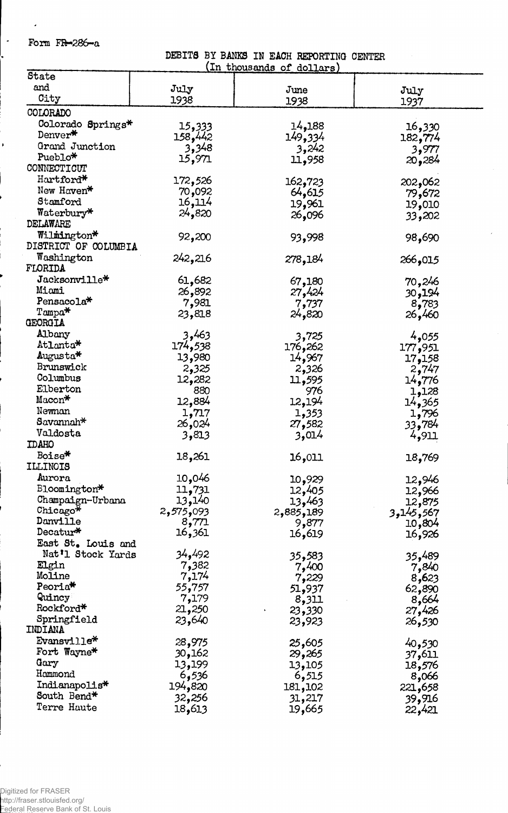Form  $FR = 286 - a$ 

 $\cdot$ 

 $\left| \cdot \right|$ 

DEBITS BY BANKS IN EACH REPORTING CENTER<br>(In thousands of dollars)

l,

| State                                    |                  | <u>onouvanio</u><br>ິ<br>antitrat b |           |
|------------------------------------------|------------------|-------------------------------------|-----------|
| and                                      | July             | June                                | July      |
| City                                     | 1938             | 1938                                | 1937      |
| COLORADO                                 |                  |                                     |           |
|                                          |                  |                                     |           |
| Colorado Springs*<br>Denver <sup>*</sup> | 15,333           | 14,188                              | 16,330    |
| Grand Junction                           | 158,442          | 149,334                             | 182,774   |
| Pueblo*                                  | 3,348            | 3,242                               | 3,977     |
| CONNECTICUT                              | 15,971           | 11,958                              | 20,284    |
|                                          |                  |                                     |           |
| Hartford*<br>New Haven*                  | 172,526          | 162,723                             | 202,062   |
|                                          | 70,092           | 64,615                              | 79,672    |
| Stamford                                 | 16,114           | 19,961                              | 19,010    |
| Waterbury*                               | 24,820           | 26,096                              | 33,202    |
| DELAWARE                                 |                  |                                     |           |
| Wilmington*                              | 92,200           | 93,998                              | 98,690    |
| DISTRICT OF COLUMBIA                     |                  |                                     |           |
| Washington                               | 242,216          | 278,184                             | 266,015   |
| FLORIDA                                  |                  |                                     |           |
| $\mathtt{Jacksonville*}$                 | 61,682           | 67,180                              | 70,246    |
| Miami                                    | 26,892           | 27,424                              | 194و30    |
| Pensacola <sup>*</sup>                   | 7,981            | 7,737                               | 8,783     |
| Tampa*                                   | 23,818           | 24,820                              | 26,460    |
| GEORGIA                                  |                  |                                     |           |
| Albany                                   | 3,463            | 3,725                               | 4,055     |
| Atlanta*                                 | 174,538          | 176,262                             | 177,951   |
| Augusta*                                 | 13,980           | 14,967                              | 17,158    |
| Brunswick<br>Columbus                    | 2,325            | 2,326                               | 2,747     |
|                                          | 12,282           | 11,595                              | 14,776    |
| Elberton<br>Macon*                       | 880              | 976                                 | 1,128     |
|                                          | 12,884           | 12,194                              | 14,365    |
| Newnan                                   | 1,717            | 1,353                               | 1,796     |
| Savannah*                                | 26,024           | 27,582                              | 784و33    |
| Valdosta                                 | 3,813            | 3,014                               | 4,911     |
| <b>IDAHO</b>                             |                  |                                     |           |
| Boise*                                   | 18,261           | 16,011                              | 18,769    |
| <b>ILLINOIS</b>                          |                  |                                     |           |
| Aurora                                   | 10,046           | 10,929                              | 12,946    |
| Bloomington*                             | 11,731           | 12,405                              | 12,966    |
| Champaign-Urbana                         | 13,140           | 13,463                              | 12,875    |
| Chicago*                                 | 2,575,093        | 2,885,189                           | 3,145,567 |
| Danville<br>Decatur*                     | 8,771            | 9,877                               | 10,804    |
|                                          | 16,361           | 16,619                              | 16,926    |
| East St. Louis and<br>Nat'l Stock Yards  |                  |                                     |           |
| Elgin                                    | 34,492           | 35,583                              | 35,489    |
| Moline                                   | 7,382<br>7,174   | 7,400                               | 7,840     |
| Peoria <sup>*</sup>                      |                  | 7,229                               | 8,623     |
| Quincy                                   | 55,757           | 51,937                              | 62,890    |
| Rockford*                                | 7,179<br>21,250  | 8,311                               | 8,664     |
| Springfield                              | 23,640           | 23,330                              | 27,426    |
| INDIANA                                  |                  | 23,923                              | 26,530    |
| Evansville*                              |                  |                                     |           |
| Fort Wayne*                              | 28,975<br>30,162 | 25,605                              | 40,530    |
| Gary                                     |                  | 29,265                              | 37,611    |
| Hammond                                  | 13,199           | 13,105                              | 18,576    |
| Indianapolis*                            | 6,536            | 6,515                               | 8,066     |
| South Bend*                              | 194,820          | 181,102                             | 221,658   |
| Terre Haute                              | 32,256           | 31,217                              | 39,916    |
|                                          | 18,613           | 19,665                              | 22,421    |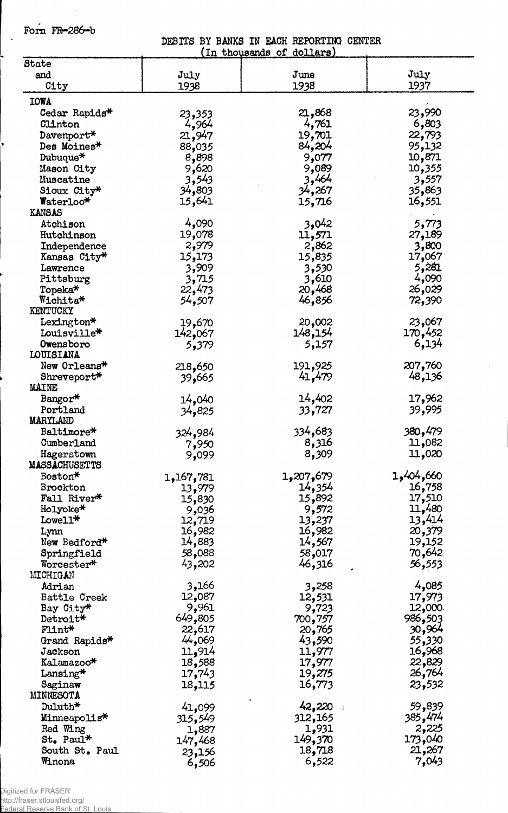Form FR-286-b

 $\ddot{\phantom{a}}$ 

 $\hat{\mathcal{A}}$ 

DESITS BY BANKS IN EACH REPORTING CENTER

|                              |                           | (In thousands of dollars) |                  |
|------------------------------|---------------------------|---------------------------|------------------|
| State                        |                           |                           |                  |
| and                          | July                      | June                      | July             |
| City                         | 1938                      | 1938                      | 1937             |
| <b>IOWA</b>                  |                           |                           |                  |
| Cedar Rapids*                | 23,353                    | 21,868                    | 23,990           |
| Clinton                      | 4,964                     | 4,761                     | 6,803            |
| Davenport*                   | 21,947                    | 19,701                    | 22,793           |
| Des Moines*                  | 88,035                    | 84,204                    | 95,132           |
| Dubuque*                     | 8,898                     | 9,077                     | 10,871           |
| Mason City                   | 9,620                     | 9,089                     | 10,355           |
| Muscatine                    | 3,543                     | 3,464                     | 3,557            |
| Sioux City*                  | 34,803                    | 34,267                    | 35,863           |
| Waterloo*                    | 15,641                    | 15,716                    | 16,551           |
| <b>KANSAS</b>                |                           |                           |                  |
| Atchison                     | 4,090                     | 3,042                     | 5,773            |
| Hutchinson                   | 19,078                    | 11,571                    | 27,189           |
|                              | 2,979                     | 2,862                     | 3,800            |
| Independence<br>Kansas City* | 15,173                    | 15,835                    |                  |
|                              |                           |                           | 17,067<br>5,281  |
| Lawrence<br>Pittsburg        | 3,909<br>3,715            | 3,530<br>3,610            | 4,090            |
|                              |                           |                           |                  |
| Topeka*<br>Wichita*          | 22,473<br>54,507          | 20,468<br>46,856          | 26,029<br>72,390 |
| KENTUCKY                     |                           |                           |                  |
| Lexington*                   |                           | 20,002                    | 23,067           |
| Louisville*                  | 19,670<br>142,067         | 148,154                   | 170,452          |
| Owensboro                    |                           | 5,157                     | 6,134            |
| LOUISIANA                    | 5,379                     |                           |                  |
| New Orleans*                 |                           | 191,925                   | 207,760          |
| Shreveport*                  | 218,650                   | 41,479                    | 48,136           |
| <b>MAINE</b>                 | 39,665                    |                           |                  |
| Bangor*                      |                           | 14,402                    | 17,962           |
| Portland                     | 14,040                    | 33,727                    | 39,995           |
| MARYLAND                     | 34,825                    |                           |                  |
| Baltimore*                   |                           | 334,683                   | 3 <b>80,47</b> 9 |
| Cumberland                   | 324,984                   | 8,316                     | 11,082           |
| Hagerstown                   | 7,950                     | 8,309                     | 11,020           |
| <b>MASSACHUSETTS</b>         | 9,099                     |                           |                  |
| Boston*                      |                           | 1,207,679                 | 1,404,660        |
| <b>Brockton</b>              | 1,167,781                 | 14,354                    | 16,758           |
| Fall River*                  | 13,979<br>15,830          | 15,892                    | 17,510           |
| Holyoke*                     | 9,036                     | 9,572                     | 11,480           |
| Lowell*                      | 12,719                    | 13,237                    | 13,414           |
| Lynn                         | 16,982                    | 16,982                    | 20,379           |
| New Bedford*                 | 14,883                    | 14,567                    | 19,152           |
| Springfield                  | 58,088                    | 58,017                    | 70,642           |
| Worcester*                   | 43,202                    | 46,316                    | 56,553           |
| MICHIGAN                     |                           |                           |                  |
| Adrian                       | 3,166                     | 3,258                     | 4,085            |
| Battle Creek                 | 12,087                    | 12,531                    | 17,973           |
| Bay City*                    | 9,961                     | 9,723                     | 12,000           |
| Detroit*                     | 649,805                   | 700,757                   | 986,503          |
| Flint*                       | 22,617                    | 20,765                    | 30,964           |
| Grand Rapids*                | 44,069                    | 43,590                    | 55,330           |
| Jackson                      | 11,914                    | 11,977                    | 16,968           |
| Kalamazoo*                   | 18,588                    | 17,977                    | 22,829           |
| Lansing*                     | 17,743                    | 19,275                    | 26,764           |
| Saginaw                      | 18,115                    | 16,773                    | 23,532           |
| MINNESOTA                    |                           |                           |                  |
| Duluth*                      |                           | 42,220                    | 59,839           |
| Minneapolis*                 | 41,099                    | 312,165                   | 385,474          |
| Red Wing                     | 315 <b>,</b> 549<br>1,887 | 1,931                     | 2,225            |
| St. Paul*                    |                           | 149,370                   | 173,040          |
| South St. Paul               | 147 <b>,</b> 468          | 18,718                    | 21,267           |
| Winona                       | 23,156                    | 6,522                     | 7,043            |
|                              | 6,506                     |                           |                  |

Digitized for FRASER

http://fraser.stlouisfed.org/

Federal Reserve Bank of St. Louis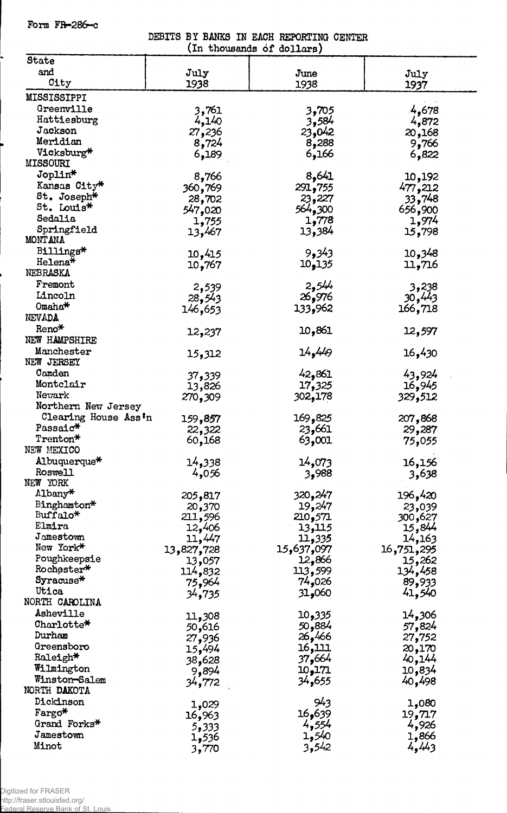Form  $FP-286-c$ 

DEBITS BY BANKS IN EACH REPORTING CENTER

| (In thousands of dollars)     |            |            |                  |  |  |
|-------------------------------|------------|------------|------------------|--|--|
| State                         |            |            |                  |  |  |
| and                           | July       | June       | July             |  |  |
| City                          | 1938       | 1938       | 1937             |  |  |
| MISSISSIPPI                   |            |            |                  |  |  |
| Greenville                    | 3,761      | 3,705      | 4,678            |  |  |
| Hattiesburg                   | 4,140      | 3,584      | 4,872            |  |  |
| Jackson                       | 27,236     | 23,042     |                  |  |  |
| Meridian                      | 8,724      | 8,288      | 20,168<br>9,766  |  |  |
| Vicksburg*                    | 6,189      | 6,166      | 6,822            |  |  |
| <b>MISSOURI</b>               |            |            |                  |  |  |
| Joplin*                       | 8,766      | 8,641      |                  |  |  |
| Kansas City*                  | 360,769    | 291,755    | 10,192           |  |  |
| St. Joseph*                   |            | 23,227     | 477,212          |  |  |
| St. Louis*                    | 28,702     | 564,300    | 33,748           |  |  |
| Sedalia                       | 547,020    | 1,778      | 656,900<br>1,974 |  |  |
| Springfield                   | 1,755      | 13,384     |                  |  |  |
| MONTANA                       | 13,467     |            | 15,798           |  |  |
| Billings*                     |            | 9,343      | 10,348           |  |  |
| Helena*                       | 10,415     | 10,135     |                  |  |  |
| NEBRASKA                      | 10,767     |            | 11,716           |  |  |
| Fremont                       | 2,539      | 2,544      | 3,238            |  |  |
| Lincoln                       | 28,543     | 26,976     | 30,443           |  |  |
| $O$ maha <sup>*</sup>         | 146,653    | 133,962    | 166,718          |  |  |
| NEVADA                        |            |            |                  |  |  |
| Reno*                         |            | 10,861     | 12,597           |  |  |
| NEW HAMPSHIRE                 | 12,237     |            |                  |  |  |
| Manchester                    | 15,312     | 14,449     | 16,430           |  |  |
| NEW JERSEY                    |            |            |                  |  |  |
| Camden                        | 37,339     | 42,861     | 43,924           |  |  |
| Montclair                     | 13,826     | 17,325     | 16,945           |  |  |
| Newark                        | 270,309    | 302,178    | 329,512          |  |  |
| Northern New Jersey           |            |            |                  |  |  |
| Clearing House Ass'n          | 159,857    | 169,825    | 207,868          |  |  |
| Passaic*                      | 22,322     | 23,661     | 29,287           |  |  |
| Trenton*                      | 60,168     | 63,001     | 75,055           |  |  |
| NEW MEXICO                    |            |            |                  |  |  |
| Albuquerque*                  | 14,338     | 14,073     | 16,156           |  |  |
| Roswell                       | 4,056      | 3,988      | 3,638            |  |  |
| NEW YORK                      |            |            |                  |  |  |
| Albany*                       | 205,817    | 320,247    | 196,420          |  |  |
| Binghamton*                   | 20,370     | 19,247     | 23,039           |  |  |
| Buffalo*                      | 211,596    | 210,571    | 300,627          |  |  |
| Elmira                        | 12,406     | 13,115     | 15,844           |  |  |
| Jamestown                     | 11,447     | 11,335     | 14,163           |  |  |
| New York*                     | 13,827,728 | 15,637,097 | 16,751,295       |  |  |
| Poughkeepsie                  | 13,057     | 12,866     | 15,262           |  |  |
| ${\tt Robert} \star$          | 114,832    | 113,599    | 134,458          |  |  |
| Syracuse*                     | 75,964     | 74,026     | 89,933           |  |  |
| Utica                         | 34,735     | 31,060     | 41,540           |  |  |
| NORTH CAROLINA                |            |            |                  |  |  |
| Asheville                     | 11,308     | 335و10     | 306و14           |  |  |
| ${\tt CharLotte\textbf{*}}$   | 50,616     | 884و50     | 57,824           |  |  |
| Durham                        | 27,936     | 26,466     | 27,752           |  |  |
| Greensboro                    | 15,494     | 16,111     | 20,170           |  |  |
| Raleigh*                      | 38,628     | 37,664     | 40,144           |  |  |
| Wilmington                    | 9,894      | 10,171     | 10,834           |  |  |
| Winston-Salem<br>NORTH DAKOTA | 34,772     | 34,655     | 40,498           |  |  |
|                               |            |            |                  |  |  |
| Dickinson                     | 1,029      | 943        | 1,080            |  |  |
| Fargo*<br>Grand Forks*        | 16,963     | 16,639     | 19,717           |  |  |
| Jamestown                     | 5,333      | 4,554      | 4,926            |  |  |
| Minot                         | 1,536      | 1,540      | 1,866            |  |  |
|                               | 3,770      | 3,542      | 4,443            |  |  |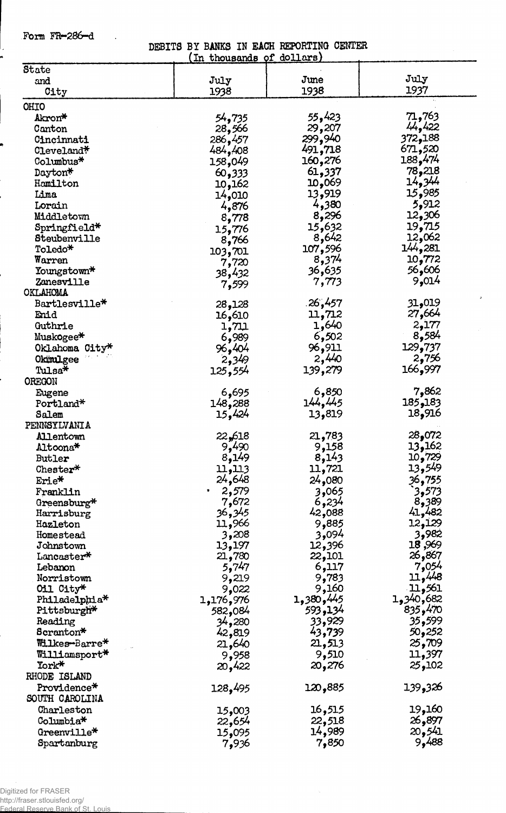Form FR—286-d

 $\sim$ 

DEBITS BY BANKS IN EACH REPORTING CENTER

|                       | In thousands of dollars |           |                |
|-----------------------|-------------------------|-----------|----------------|
| State                 |                         |           |                |
| and                   | July                    | June      | July           |
| City                  | 1938                    | 1938      | 1937           |
| OHIO                  |                         |           |                |
| Akron*                | 54,735                  | 55,423    | 71,763         |
| Canton                | 28,566                  | 29,207    | 44,422         |
| Cincinnati            | 286,457                 | 299,940   | 372,188        |
| Cleveland*            | 484,408                 | 491,718   | 671,520        |
| Columbus <sup>*</sup> | 158,049                 | 160,276   | 188,474        |
| Dayton*               | 60,333                  | 61,337    | 78,218         |
| Hamilton              | 10,162                  | 069و10    | 14,344         |
| Lima                  | 14,010                  | 13,919    | 15,985         |
| Lorain                | 4,876                   | 4,380     | 5,912          |
| Middletown            | 8,778                   | 8,296     | 12,306         |
| Springfield*          | 15,776                  | 15,632    | 19,715         |
| Steubenville          | 8,766                   | 8,642     | 12,062         |
| Toledo*               | 103,701                 | 107,596   | 144,281        |
| Warren                | 7,720                   | 8,374     | 10,772         |
| Youngstown*           | 38,432                  | 36,635    | 56,606         |
| Zanesville            | 7,599                   | 7,773     | 9,014          |
| OKLAHOMA              |                         |           |                |
| Bartlesville*         | 28,128                  | .26,457   | 31,019         |
| Enid                  | 16,610                  | 11,712    | 27,664         |
| Guthrie               | 1,711                   | 1,640     | 2,177          |
| Muskogee*             | 6,989                   | 6,502     | 8,584          |
| Oklahoma City*        | 96,404                  | 96,911    | 129,737        |
| OkimLgee              | 2,349                   | 2,440     | 2,756          |
| Tulsa*                | 125,554                 | 139,279   | 166,997        |
| OREGON                |                         |           |                |
| Eugene                | 6,695                   | 6,850     | 7,862          |
| Portland*             | 148,288                 | 144,445   | 185,183        |
| Salem                 | 15,424                  | 13,819    | 18,916         |
| PENNSYLVANIA          |                         |           |                |
| Allentown             | 22,618                  | 21,783    | 28,072         |
| Altoona*              | 9,490                   | 9,158     | 13,162         |
| Butler                | 8,149                   | 8,143     | 10,729         |
| Chester*              | 11,113                  | 11,721    | 13,549         |
| Erie*                 | 24,648                  | 24,080    | <u>3</u> 6,755 |
| Franklin              | 2,579                   | 3,065     | 3,573          |
| Greensburg*           | 7,672                   | 6,234     | 8,389          |
| Harrisburg            | 36 <b>,</b> 345         | 42,088    | 41,482         |
| Hazleton              | 11,966                  | 9,885     | 12,129         |
| Homestead             | 3,208                   | 3,094     | 3,982          |
| Johnstown             | 13,197                  | 12,396    | 18,969         |
| Lancaster*            | 21,780                  | 22,101    | 26,867         |
| Lebanon               | 5,747                   | 6,117     | 7,054          |
| Norristown            | 9,219                   | 9,783     | 11,448         |
| Oil City*             | 9,022                   | 9,160     | 11,561         |
| Philadelphia*         | 1,176,976               | 1,380,445 | 1,340,682      |
| Pittsburgh*           | 582,084                 | 593,134   | 835,470        |
| Reading               | 34,280                  | 33,929    | 35,599         |
| Scranton*             | 42,819                  | 43,739    | 50,252         |
| Wilkes-Barre*         | 21,640                  | 21,513    | 25,709         |
| Williamsport*         | 9,958                   | 9,510     | 11,397         |
| York*                 | 20,422                  | 20,276    | 25,102         |
| RHODE ISLAND          |                         |           |                |
| Providence*           | 128,495                 | 120,885   | 139,326        |
| SOUTH CAROLINA        |                         |           |                |
| Charleston            | 15,003                  | 16,515    | 19,160         |
| Columbia*             | 22,654                  | 22,518    | 26,897         |
| Greenville*           | 15,095                  | 14,989    | 20,541         |
| Spartanburg           | 7,936                   | 7,850     | 9,488          |

 $\sim$ 

Federal Reserve Bank of St. Louis